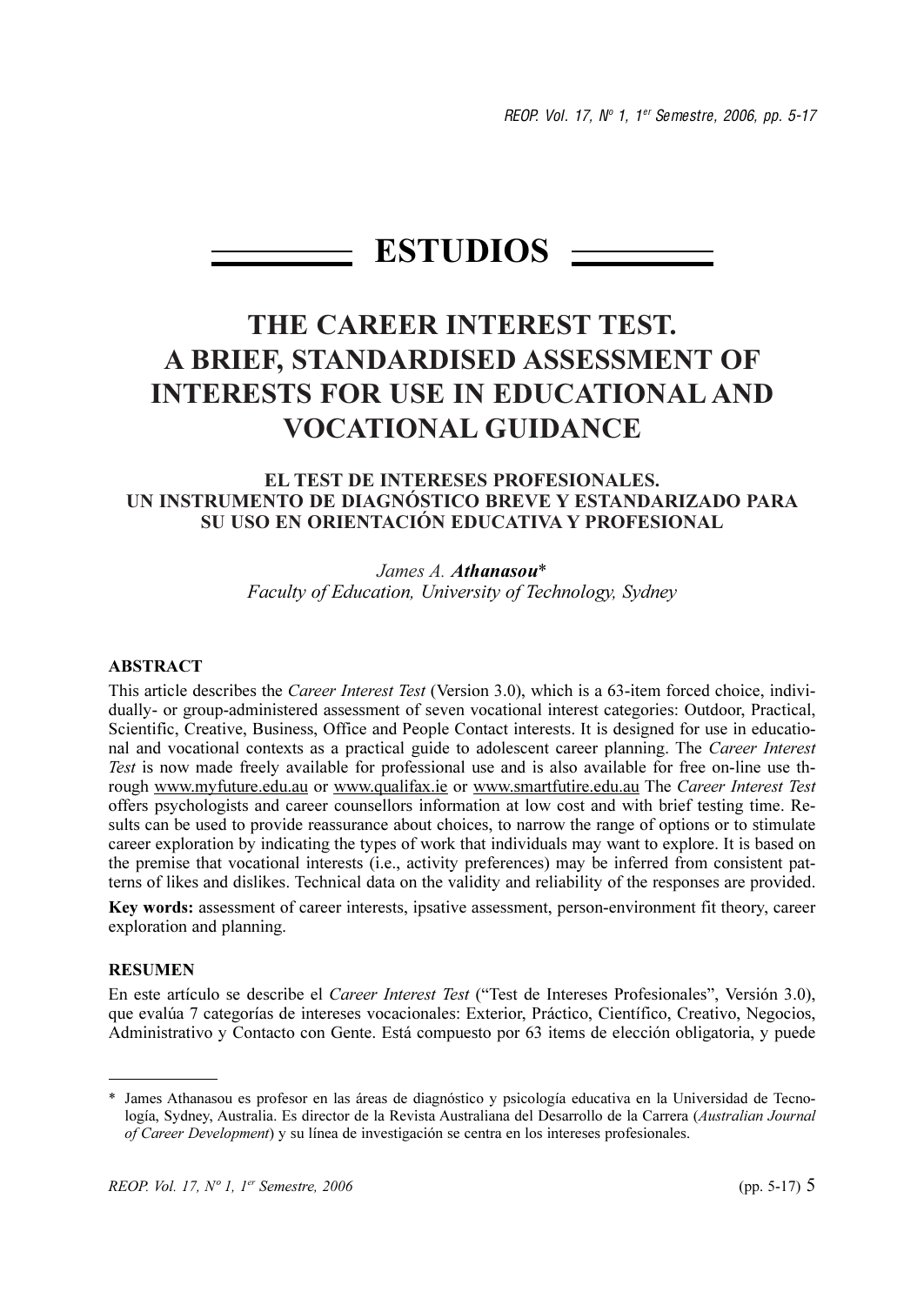REOP. Vol. 17, Nº 1, 1er Semestre, 2006, pp. 5-17

# $ESTUDIOS$  —

# THE CAREER INTEREST TEST. A BRIEF, STANDARDISED ASSESSMENT OF **INTERESTS FOR USE IN EDUCATIONAL AND VOCATIONAL GUIDANCE**

#### **EL TEST DE INTERESES PROFESIONALES.** UN INSTRUMENTO DE DIAGNÓSTICO BREVE Y ESTANDARIZADO PARA SU USO EN ORIENTACIÓN EDUCATIVA Y PROFESIONAL

## James A Athanasou\* Faculty of Education, University of Technology, Sydney

#### **ABSTRACT**

This article describes the Career Interest Test (Version 3.0), which is a 63-item forced choice, individually- or group-administered assessment of seven vocational interest categories: Outdoor, Practical, Scientific, Creative, Business, Office and People Contact interests. It is designed for use in educational and vocational contexts as a practical guide to adolescent career planning. The Career Interest Test is now made freely available for professional use and is also available for free on-line use through www.myfuture.edu.au or www.qualifax.ie or www.smartfutire.edu.au The Career Interest Test offers psychologists and career counsellors information at low cost and with brief testing time. Results can be used to provide reassurance about choices, to narrow the range of options or to stimulate career exploration by indicating the types of work that individuals may want to explore. It is based on the premise that vocational interests (i.e., activity preferences) may be inferred from consistent patterns of likes and dislikes. Technical data on the validity and reliability of the responses are provided.

Key words: assessment of career interests, ipsative assessment, person-environment fit theory, career exploration and planning.

#### **RESUMEN**

En este artículo se describe el Career Interest Test ("Test de Intereses Profesionales", Versión 3.0), que evalúa 7 categorías de intereses vocacionales: Exterior, Práctico, Científico, Creativo, Negocios, Administrativo y Contacto con Gente. Está compuesto por 63 items de elección obligatoria, y puede

<sup>\*</sup> James Athanasou es profesor en las áreas de diagnóstico y psicología educativa en la Universidad de Tecnología, Sydney, Australia. Es director de la Revista Australiana del Desarrollo de la Carrera (Australian Journal of Career Development) y su línea de investigación se centra en los intereses profesionales.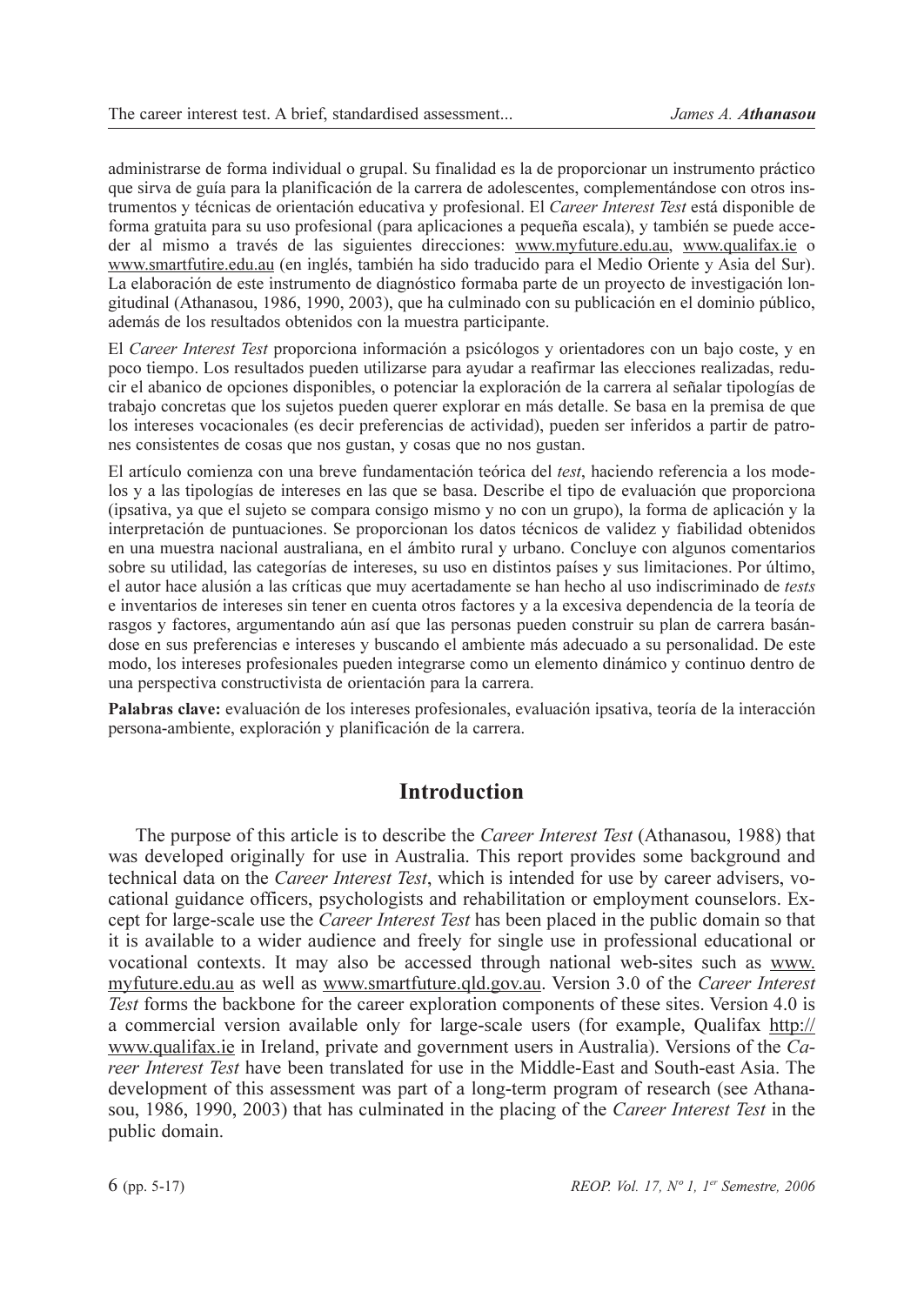administrarse de forma individual o grupal. Su finalidad es la de proporcionar un instrumento práctico que sirva de guía para la planificación de la carrera de adolescentes, complementándose con otros instrumentos y técnicas de orientación educativa y profesional. El Career Interest Test está disponible de forma gratuita para su uso profesional (para aplicaciones a pequeña escala), y también se puede acceder al mismo a través de las siguientes direcciones: www.myfuture.edu.au, www.qualifax.ie o www.smartfutire.edu.au (en inglés, también ha sido traducido para el Medio Oriente y Asia del Sur). La elaboración de este instrumento de diagnóstico formaba parte de un proyecto de investigación longitudinal (Athanasou, 1986, 1990, 2003), que ha culminado con su publicación en el dominio público, además de los resultados obtenidos con la muestra participante.

El Career Interest Test proporciona información a psicólogos y orientadores con un bajo coste, y en poco tiempo. Los resultados pueden utilizarse para ayudar a reafirmar las elecciones realizadas, reducir el abanico de opciones disponibles, o potenciar la exploración de la carrera al señalar tipologías de trabajo concretas que los sujetos pueden querer explorar en más detalle. Se basa en la premisa de que los intereses vocacionales (es decir preferencias de actividad), pueden ser inferidos a partir de patrones consistentes de cosas que nos gustan, y cosas que no nos gustan.

El artículo comienza con una breve fundamentación teórica del test, haciendo referencia a los modelos y a las tipologías de intereses en las que se basa. Describe el tipo de evaluación que proporciona (ipsativa, ya que el sujeto se compara consigo mismo y no con un grupo), la forma de aplicación y la interpretación de puntuaciones. Se proporcionan los datos técnicos de validez y fiabilidad obtenidos en una muestra nacional australiana, en el ámbito rural y urbano. Concluye con algunos comentarios sobre su utilidad, las categorías de intereses, su uso en distintos países y sus limitaciones. Por último, el autor hace alusión a las críticas que muy acertadamente se han hecho al uso indiscriminado de *tests* e inventarios de intereses sin tener en cuenta otros factores y a la excesiva dependencia de la teoría de rasgos y factores, argumentando aún así que las personas pueden construir su plan de carrera basándose en sus preferencias e intereses y buscando el ambiente más adecuado a su personalidad. De este modo, los intereses profesionales pueden integrarse como un elemento dinámico y continuo dentro de una perspectiva constructivista de orientación para la carrera.

Palabras clave: evaluación de los intereses profesionales, evaluación ipsativa, teoría de la interacción persona-ambiente, exploración y planificación de la carrera.

## **Introduction**

The purpose of this article is to describe the *Career Interest Test* (Athanasou, 1988) that was developed originally for use in Australia. This report provides some background and technical data on the *Career Interest Test*, which is intended for use by career advisers, vocational guidance officers, psychologists and rehabilitation or employment counselors. Except for large-scale use the *Career Interest Test* has been placed in the public domain so that it is available to a wider audience and freely for single use in professional educational or vocational contexts. It may also be accessed through national web-sites such as www. myfuture.edu.au as well as www.smartfuture.qld.gov.au. Version 3.0 of the Career Interest Test forms the backbone for the career exploration components of these sites. Version 4.0 is a commercial version available only for large-scale users (for example, Qualifax http:// www.qualifax.ie in Ireland, private and government users in Australia). Versions of the Career Interest Test have been translated for use in the Middle-East and South-east Asia. The development of this assessment was part of a long-term program of research (see Athanasou, 1986, 1990, 2003) that has culminated in the placing of the Career Interest Test in the public domain.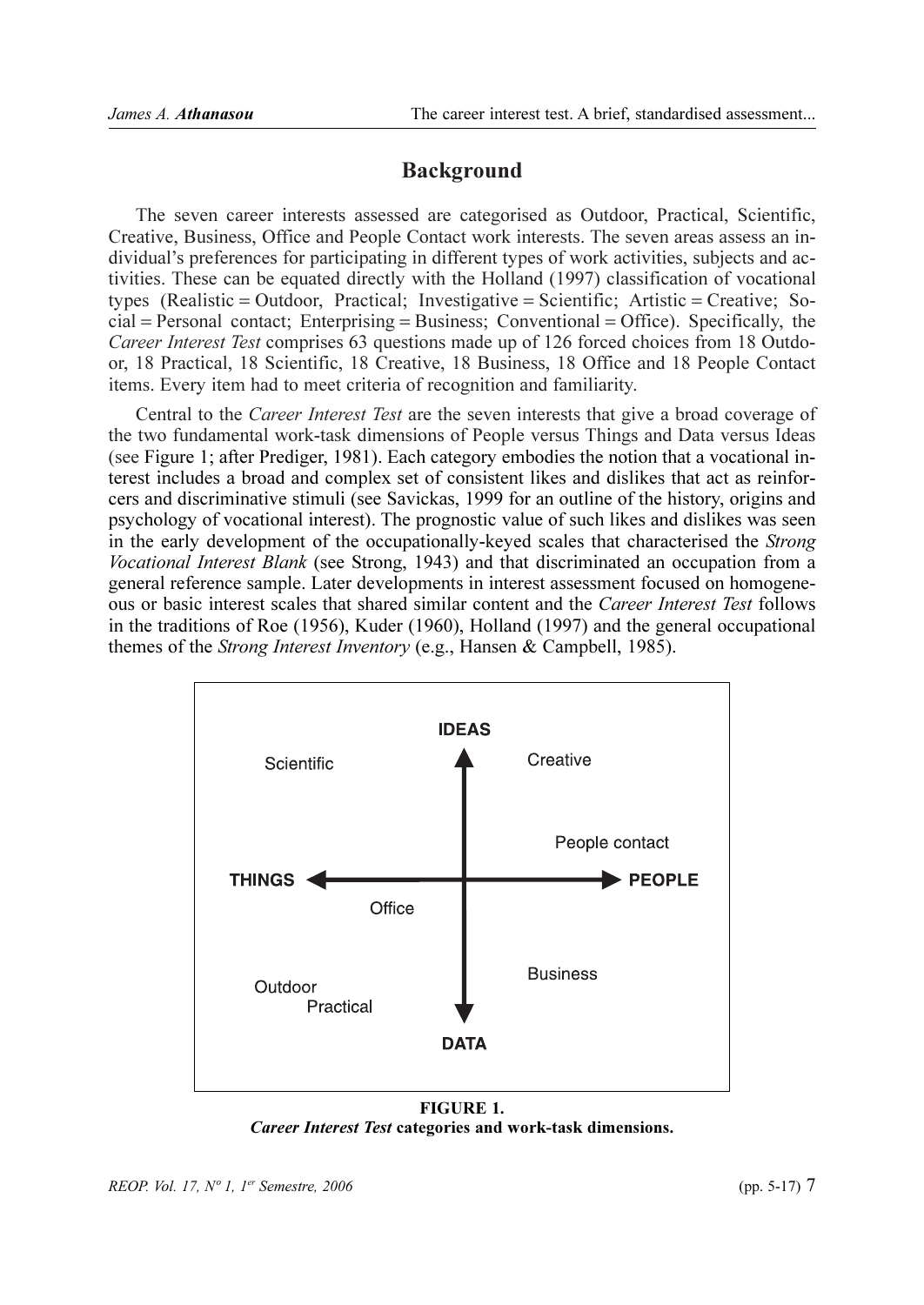## **Background**

The seven career interests assessed are categorised as Outdoor, Practical, Scientific, Creative, Business, Office and People Contact work interests. The seven areas assess an individual's preferences for participating in different types of work activities, subjects and activities. These can be equated directly with the Holland (1997) classification of vocational types (Realistic = Outdoor, Practical; Investigative = Scientific; Artistic = Creative; So $cial =$  Personal contact; Enterprising = Business; Conventional = Office). Specifically, the Career Interest Test comprises 63 questions made up of 126 forced choices from 18 Outdoor, 18 Practical, 18 Scientific, 18 Creative, 18 Business, 18 Office and 18 People Contact items. Every item had to meet criteria of recognition and familiarity.

Central to the Career Interest Test are the seven interests that give a broad coverage of the two fundamental work-task dimensions of People versus Things and Data versus Ideas (see Figure 1; after Prediger, 1981). Each category embodies the notion that a vocational interest includes a broad and complex set of consistent likes and dislikes that act as reinforcers and discriminative stimuli (see Savickas, 1999 for an outline of the history, origins and psychology of vocational interest). The prognostic value of such likes and dislikes was seen in the early development of the occupationally-keyed scales that characterised the Strong Vocational Interest Blank (see Strong, 1943) and that discriminated an occupation from a general reference sample. Later developments in interest assessment focused on homogeneous or basic interest scales that shared similar content and the Career Interest Test follows in the traditions of Roe (1956), Kuder (1960), Holland (1997) and the general occupational themes of the *Strong Interest Inventory* (e.g., Hansen & Campbell, 1985).



**FIGURE 1.** Career Interest Test categories and work-task dimensions.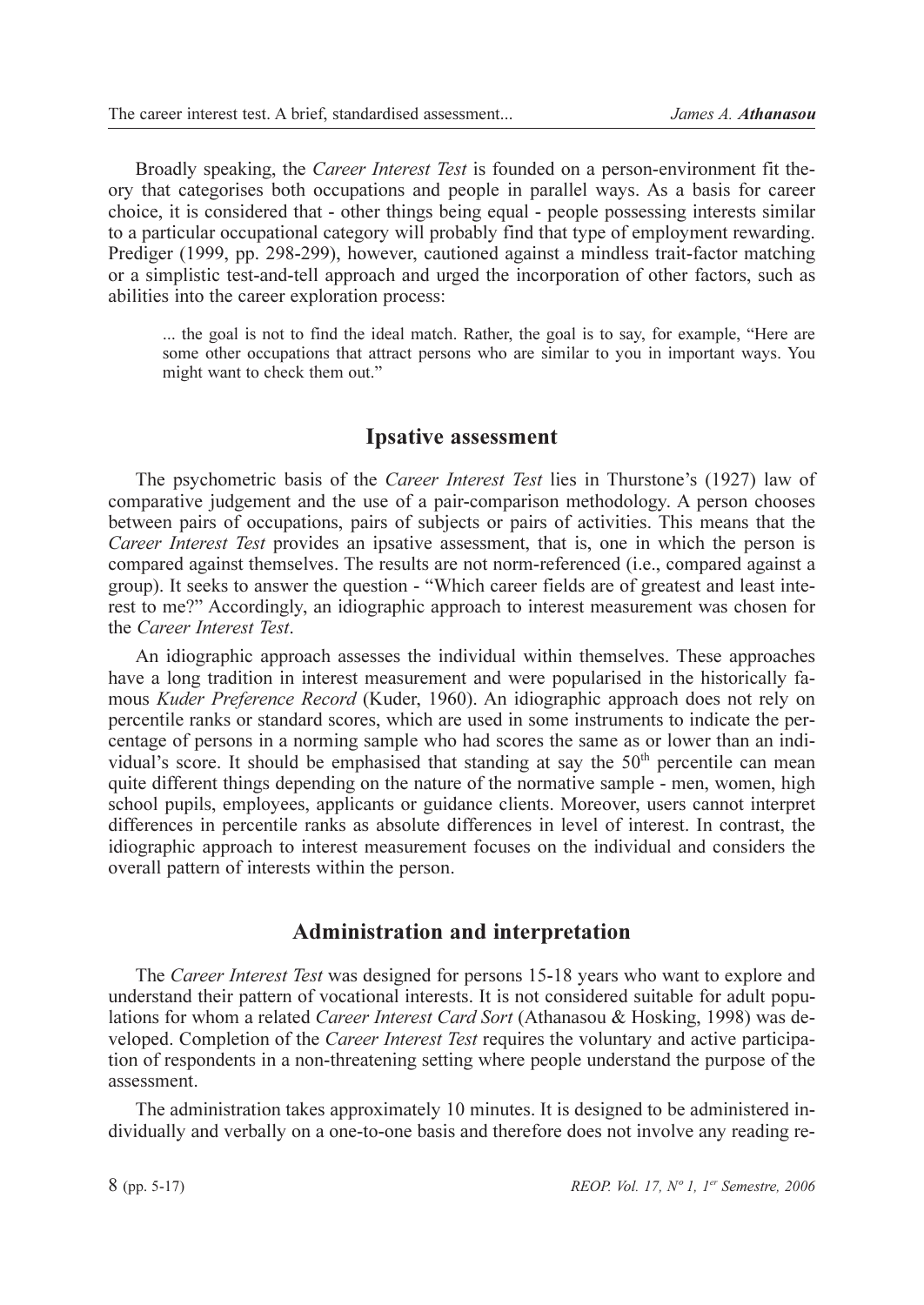Broadly speaking, the *Career Interest Test* is founded on a person-environment fit theory that categorises both occupations and people in parallel ways. As a basis for career choice, it is considered that - other things being equal - people possessing interests similar to a particular occupational category will probably find that type of employment rewarding. Prediger (1999, pp. 298-299), however, cautioned against a mindless trait-factor matching or a simplistic test-and-tell approach and urged the incorporation of other factors, such as abilities into the career exploration process:

... the goal is not to find the ideal match. Rather, the goal is to say, for example, "Here are some other occupations that attract persons who are similar to you in important ways. You might want to check them out."

## **Ipsative assessment**

The psychometric basis of the *Career Interest Test* lies in Thurstone's (1927) law of comparative judgement and the use of a pair-comparison methodology. A person chooses between pairs of occupations, pairs of subjects or pairs of activities. This means that the Career Interest Test provides an ipsative assessment, that is, one in which the person is compared against themselves. The results are not norm-referenced (*i.e.*, compared against a group). It seeks to answer the question - "Which career fields are of greatest and least interest to me?" Accordingly, an idiographic approach to interest measurement was chosen for the Career Interest Test.

An idiographic approach assesses the individual within themselves. These approaches have a long tradition in interest measurement and were popularised in the historically famous Kuder Preference Record (Kuder, 1960). An idiographic approach does not rely on percentile ranks or standard scores, which are used in some instruments to indicate the percentage of persons in a norming sample who had scores the same as or lower than an individual's score. It should be emphasised that standing at say the 50<sup>th</sup> percentile can mean quite different things depending on the nature of the normative sample - men, women, high school pupils, employees, applicants or guidance clients. Moreover, users cannot interpret differences in percentile ranks as absolute differences in level of interest. In contrast, the idiographic approach to interest measurement focuses on the individual and considers the overall pattern of interests within the person.

## **Administration and interpretation**

The Career Interest Test was designed for persons 15-18 years who want to explore and understand their pattern of vocational interests. It is not considered suitable for adult populations for whom a related Career Interest Card Sort (Athanasou & Hosking, 1998) was developed. Completion of the *Career Interest Test* requires the voluntary and active participation of respondents in a non-threatening setting where people understand the purpose of the assessment.

The administration takes approximately 10 minutes. It is designed to be administered individually and verbally on a one-to-one basis and therefore does not involve any reading re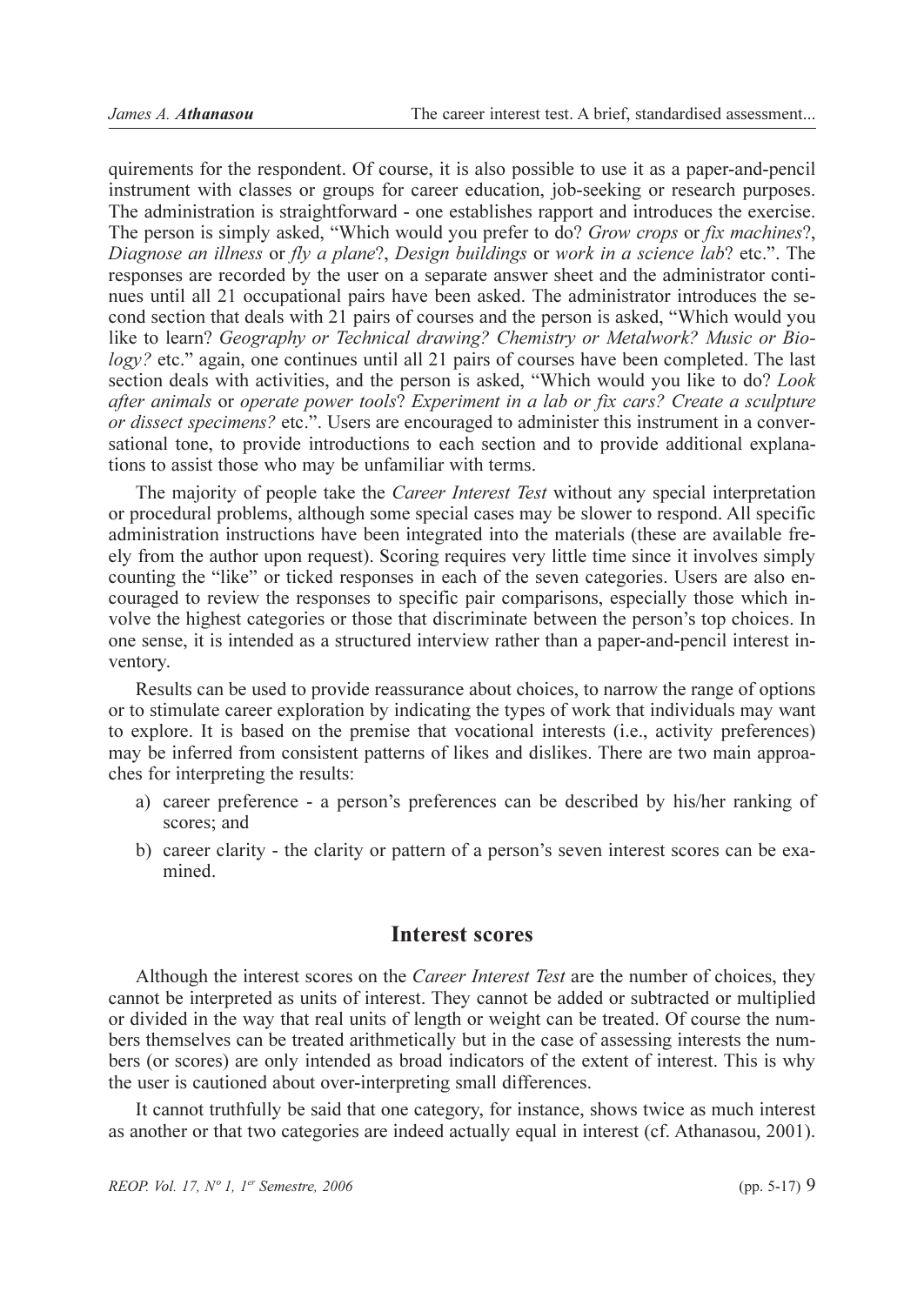quirements for the respondent. Of course, it is also possible to use it as a paper-and-pencil instrument with classes or groups for career education, job-seeking or research purposes. The administration is straightforward - one establishes rapport and introduces the exercise. The person is simply asked, "Which would you prefer to do? Grow crops or fix machines?, Diagnose an illness or fly a plane?, Design buildings or work in a science lab? etc.". The responses are recorded by the user on a separate answer sheet and the administrator continues until all 21 occupational pairs have been asked. The administrator introduces the second section that deals with 21 pairs of courses and the person is asked, "Which would you like to learn? Geography or Technical drawing? Chemistry or Metalwork? Music or Bio $logy$ ? etc." again, one continues until all 21 pairs of courses have been completed. The last section deals with activities, and the person is asked, "Which would you like to do? Look after animals or operate power tools? Experiment in a lab or fix cars? Create a sculpture or dissect specimens? etc.". Users are encouraged to administer this instrument in a conversational tone, to provide introductions to each section and to provide additional explanations to assist those who may be unfamiliar with terms.

The majority of people take the *Career Interest Test* without any special interpretation or procedural problems, although some special cases may be slower to respond. All specific administration instructions have been integrated into the materials (these are available freely from the author upon request). Scoring requires very little time since it involves simply counting the "like" or ticked responses in each of the seven categories. Users are also encouraged to review the responses to specific pair comparisons, especially those which involve the highest categories or those that discriminate between the person's top choices. In one sense, it is intended as a structured interview rather than a paper-and-pencil interest inventory.

Results can be used to provide reassurance about choices, to narrow the range of options or to stimulate career exploration by indicating the types of work that individuals may want to explore. It is based on the premise that vocational interests (i.e., activity preferences) may be inferred from consistent patterns of likes and dislikes. There are two main approaches for interpreting the results:

- a) career preference a person's preferences can be described by his/her ranking of scores: and
- b) career clarity the clarity or pattern of a person's seven interest scores can be examined.

## **Interest scores**

Although the interest scores on the *Career Interest Test* are the number of choices, they cannot be interpreted as units of interest. They cannot be added or subtracted or multiplied or divided in the way that real units of length or weight can be treated. Of course the numbers themselves can be treated arithmetically but in the case of assessing interests the numbers (or scores) are only intended as broad indicators of the extent of interest. This is why the user is cautioned about over-interpreting small differences.

It cannot truthfully be said that one category, for instance, shows twice as much interest as another or that two categories are indeed actually equal in interest (cf. Athanasou, 2001).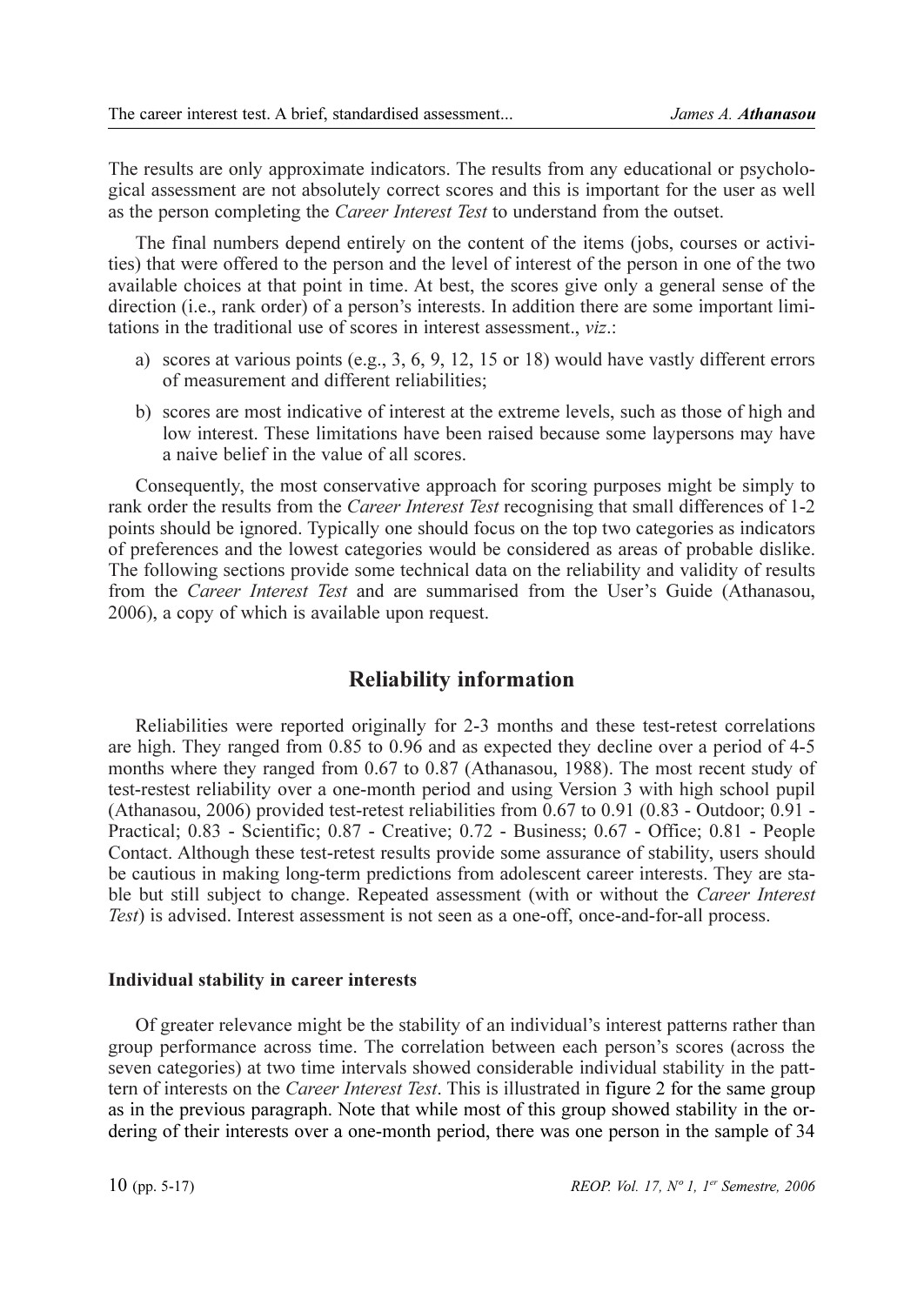The results are only approximate indicators. The results from any educational or psychological assessment are not absolutely correct scores and this is important for the user as well as the person completing the *Career Interest Test* to understand from the outset.

The final numbers depend entirely on the content of the items (jobs, courses or activities) that were offered to the person and the level of interest of the person in one of the two available choices at that point in time. At best, the scores give only a general sense of the direction (i.e., rank order) of a person's interests. In addition there are some important limitations in the traditional use of scores in interest assessment.. *viz*.:

- a) scores at various points (e.g., 3, 6, 9, 12, 15 or 18) would have vastly different errors of measurement and different reliabilities;
- b) scores are most indicative of interest at the extreme levels, such as those of high and low interest. These limitations have been raised because some laypersons may have a naive belief in the value of all scores.

Consequently, the most conservative approach for scoring purposes might be simply to rank order the results from the *Career Interest Test* recognising that small differences of 1-2 points should be ignored. Typically one should focus on the top two categories as indicators of preferences and the lowest categories would be considered as areas of probable dislike. The following sections provide some technical data on the reliability and validity of results from the Career Interest Test and are summarised from the User's Guide (Athanasou, 2006), a copy of which is available upon request.

## **Reliability information**

Reliabilities were reported originally for 2-3 months and these test-retest correlations are high. They ranged from 0.85 to 0.96 and as expected they decline over a period of 4-5 months where they ranged from 0.67 to 0.87 (Athanasou, 1988). The most recent study of test-restest reliability over a one-month period and using Version 3 with high school pupil (Athanasou, 2006) provided test-retest reliabilities from 0.67 to 0.91 (0.83 - Outdoor; 0.91 -Practical; 0.83 - Scientific; 0.87 - Creative; 0.72 - Business; 0.67 - Office; 0.81 - People Contact. Although these test-retest results provide some assurance of stability, users should be cautious in making long-term predictions from adolescent career interests. They are stable but still subject to change. Repeated assessment (with or without the Career Interest Test) is advised. Interest assessment is not seen as a one-off, once-and-for-all process.

#### Individual stability in career interests

Of greater relevance might be the stability of an individual's interest patterns rather than group performance across time. The correlation between each person's scores (across the seven categories) at two time intervals showed considerable individual stability in the patttern of interests on the *Career Interest Test*. This is illustrated in figure 2 for the same group as in the previous paragraph. Note that while most of this group showed stability in the ordering of their interests over a one-month period, there was one person in the sample of 34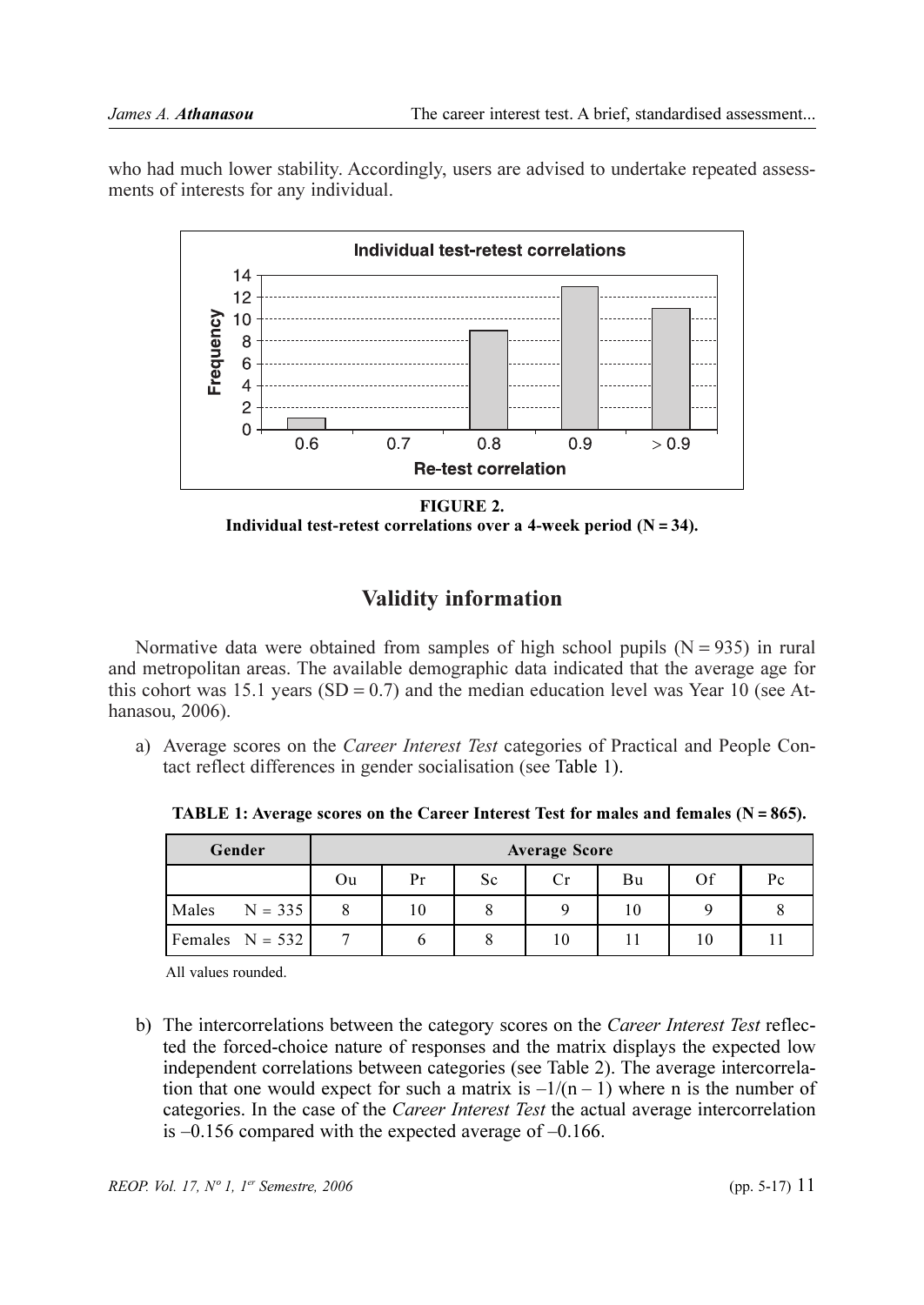who had much lower stability. Accordingly, users are advised to undertake repeated assessments of interests for any individual.



FIGURE 2. Individual test-retest correlations over a 4-week period  $(N = 34)$ .

# **Validity information**

Normative data were obtained from samples of high school pupils  $(N = 935)$  in rural and metropolitan areas. The available demographic data indicated that the average age for this cohort was 15.1 years (SD =  $0.7$ ) and the median education level was Year 10 (see Athanasou, 2006).

a) Average scores on the *Career Interest Test* categories of Practical and People Contact reflect differences in gender socialisation (see Table 1).

**TABLE 1:** Average scores on the Career Interest Test for males and females  $(N = 865)$ .

| Gender             | <b>Average Score</b> |    |    |    |    |    |    |
|--------------------|----------------------|----|----|----|----|----|----|
|                    | Ou                   | Pr | Sc | Cr | Bu | Of | Pc |
| $N = 335$<br>Males |                      | 10 |    |    | 10 |    |    |
| Females $N = 532$  |                      |    |    | 10 |    | 10 |    |

All values rounded

b) The intercorrelations between the category scores on the *Career Interest Test* reflected the forced-choice nature of responses and the matrix displays the expected low independent correlations between categories (see Table 2). The average intercorrelation that one would expect for such a matrix is  $-1/(n-1)$  where n is the number of categories. In the case of the *Career Interest Test* the actual average intercorrelation is  $-0.156$  compared with the expected average of  $-0.166$ .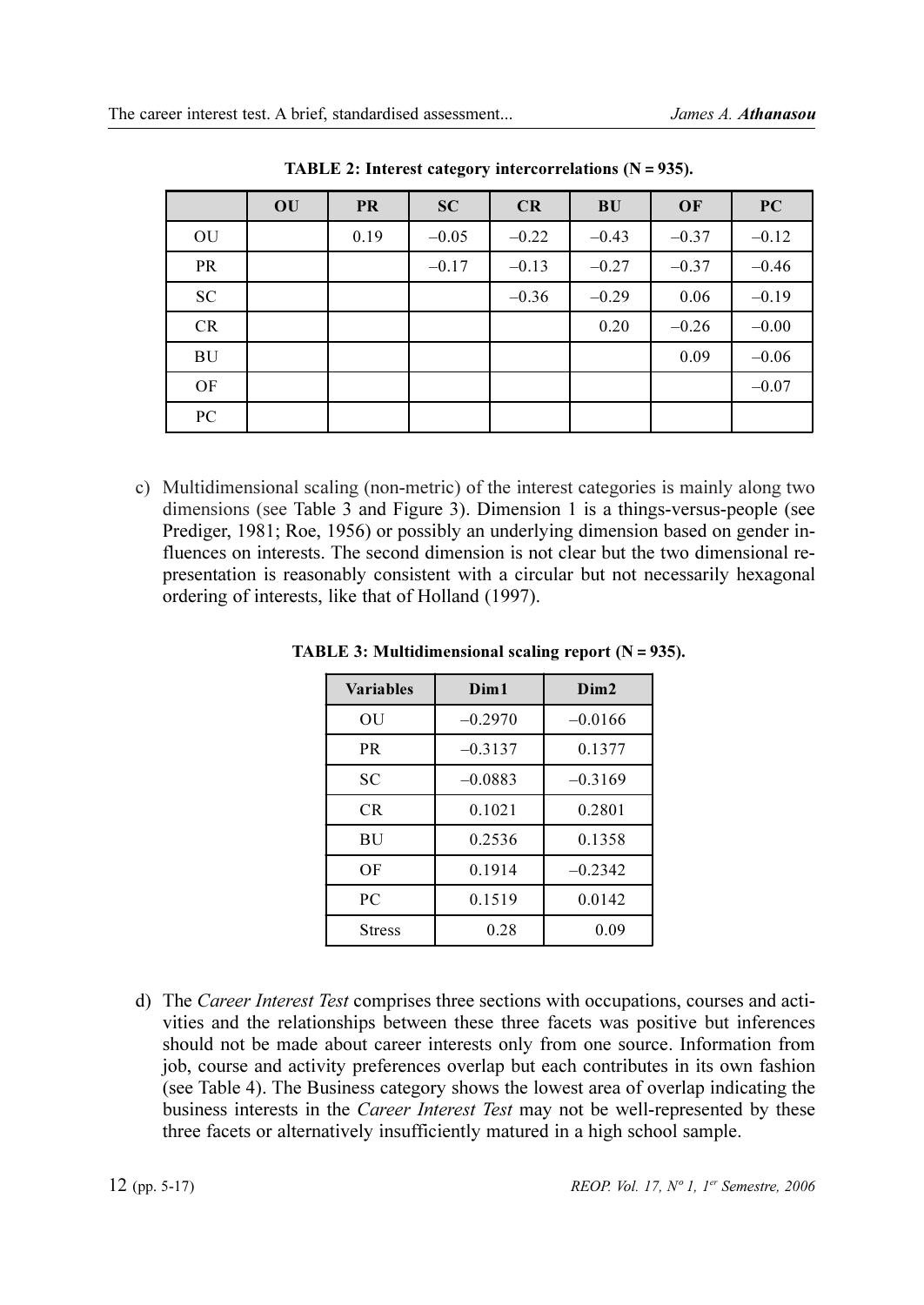|            | OU | <b>PR</b> | <b>SC</b> | CR      | <b>BU</b> | OF      | PC      |
|------------|----|-----------|-----------|---------|-----------|---------|---------|
| OU         |    | 0.19      | $-0.05$   | $-0.22$ | $-0.43$   | $-0.37$ | $-0.12$ |
| <b>PR</b>  |    |           | $-0.17$   | $-0.13$ | $-0.27$   | $-0.37$ | $-0.46$ |
| ${\rm SC}$ |    |           |           | $-0.36$ | $-0.29$   | 0.06    | $-0.19$ |
| CR         |    |           |           |         | 0.20      | $-0.26$ | $-0.00$ |
| BU         |    |           |           |         |           | 0.09    | $-0.06$ |
| OF         |    |           |           |         |           |         | $-0.07$ |
| PC         |    |           |           |         |           |         |         |

TABLE 2: Interest category intercorrelations  $(N = 935)$ .

c) Multidimensional scaling (non-metric) of the interest categories is mainly along two dimensions (see Table 3 and Figure 3). Dimension 1 is a things-versus-people (see Prediger, 1981; Roe, 1956) or possibly an underlying dimension based on gender influences on interests. The second dimension is not clear but the two dimensional representation is reasonably consistent with a circular but not necessarily hexagonal ordering of interests, like that of Holland (1997).

| <b>Variables</b> | Dim1      | Dim2      |
|------------------|-----------|-----------|
| OU               | $-0.2970$ | $-0.0166$ |
| PR               | $-0.3137$ | 0.1377    |
| SC               | $-0.0883$ | $-0.3169$ |
| CR.              | 0.1021    | 0.2801    |
| BU               | 0.2536    | 0.1358    |
| ΟF               | 0.1914    | $-0.2342$ |
| PC               | 0.1519    | 0.0142    |
| <b>Stress</b>    | 0.28      | 0.09      |

**TABLE 3: Multidimensional scaling report (** $N = 935$ **).** 

d) The *Career Interest Test* comprises three sections with occupations, courses and activities and the relationships between these three facets was positive but inferences should not be made about career interests only from one source. Information from job, course and activity preferences overlap but each contributes in its own fashion (see Table 4). The Business category shows the lowest area of overlap indicating the business interests in the *Career Interest Test* may not be well-represented by these three facets or alternatively insufficiently matured in a high school sample.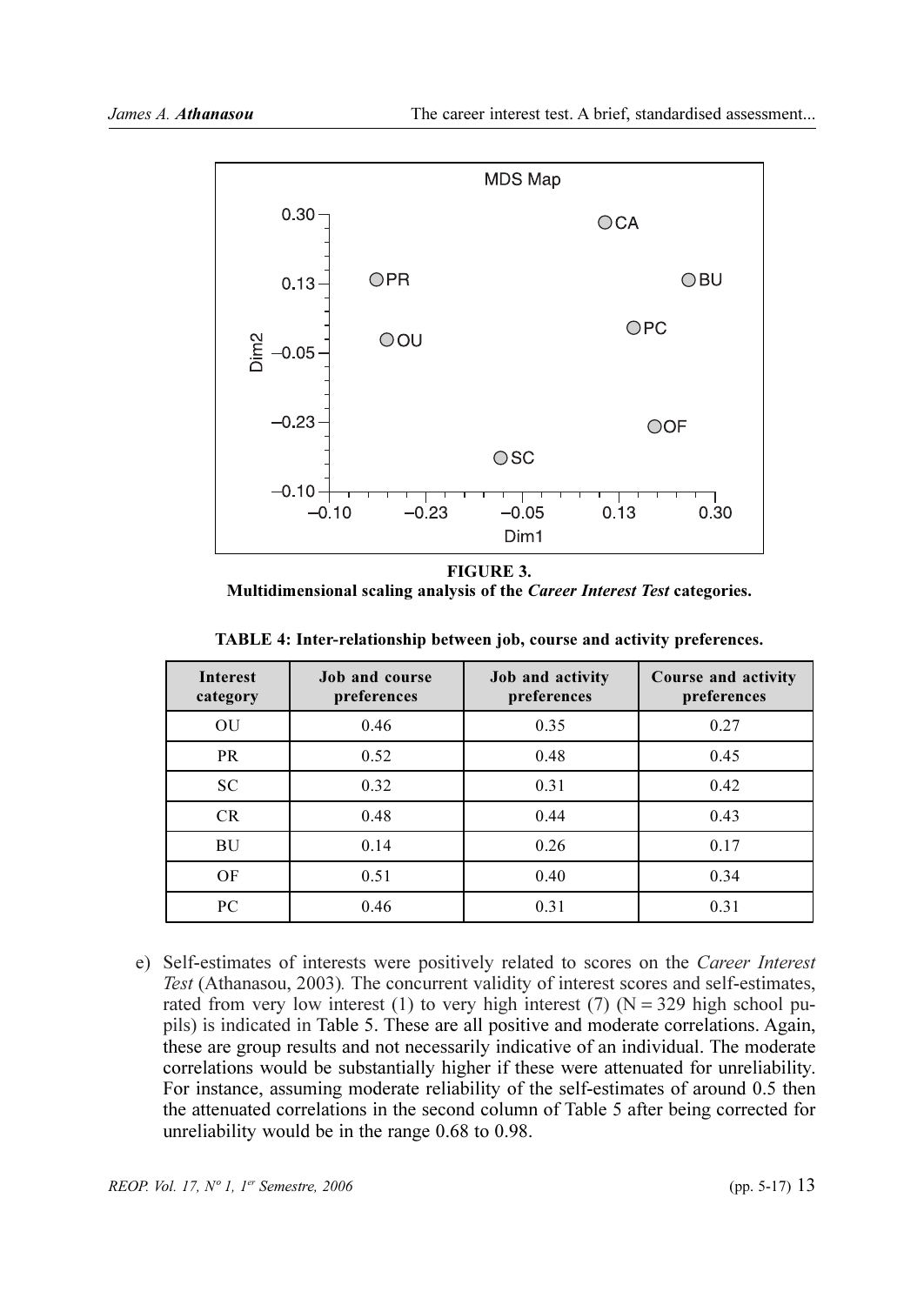

**FIGURE 3.** Multidimensional scaling analysis of the Career Interest Test categories.

| <b>Interest</b><br>category | <b>Job and course</b><br>preferences | Job and activity<br>preferences | Course and activity<br>preferences |
|-----------------------------|--------------------------------------|---------------------------------|------------------------------------|
| OU                          | 0.46                                 | 0.35                            | 0.27                               |
| <b>PR</b>                   | 0.52                                 | 0.48                            | 0.45                               |
| <b>SC</b>                   | 0.32                                 | 0.31                            | 0.42                               |
| CR                          | 0.48                                 | 0.44                            | 0.43                               |
| BU                          | 0.14                                 | 0.26                            | 0.17                               |
| OF                          | 0.51                                 | 0.40                            | 0.34                               |
| PC                          | 0.46                                 | 0.31                            | 0.31                               |

TABLE 4: Inter-relationship between job, course and activity preferences.

e) Self-estimates of interests were positively related to scores on the Career Interest Test (Athanasou, 2003). The concurrent validity of interest scores and self-estimates, rated from very low interest (1) to very high interest (7)  $(N = 329$  high school pupils) is indicated in Table 5. These are all positive and moderate correlations. Again, these are group results and not necessarily indicative of an individual. The moderate correlations would be substantially higher if these were attenuated for unreliability. For instance, assuming moderate reliability of the self-estimates of around 0.5 then the attenuated correlations in the second column of Table 5 after being corrected for unreliability would be in the range 0.68 to 0.98.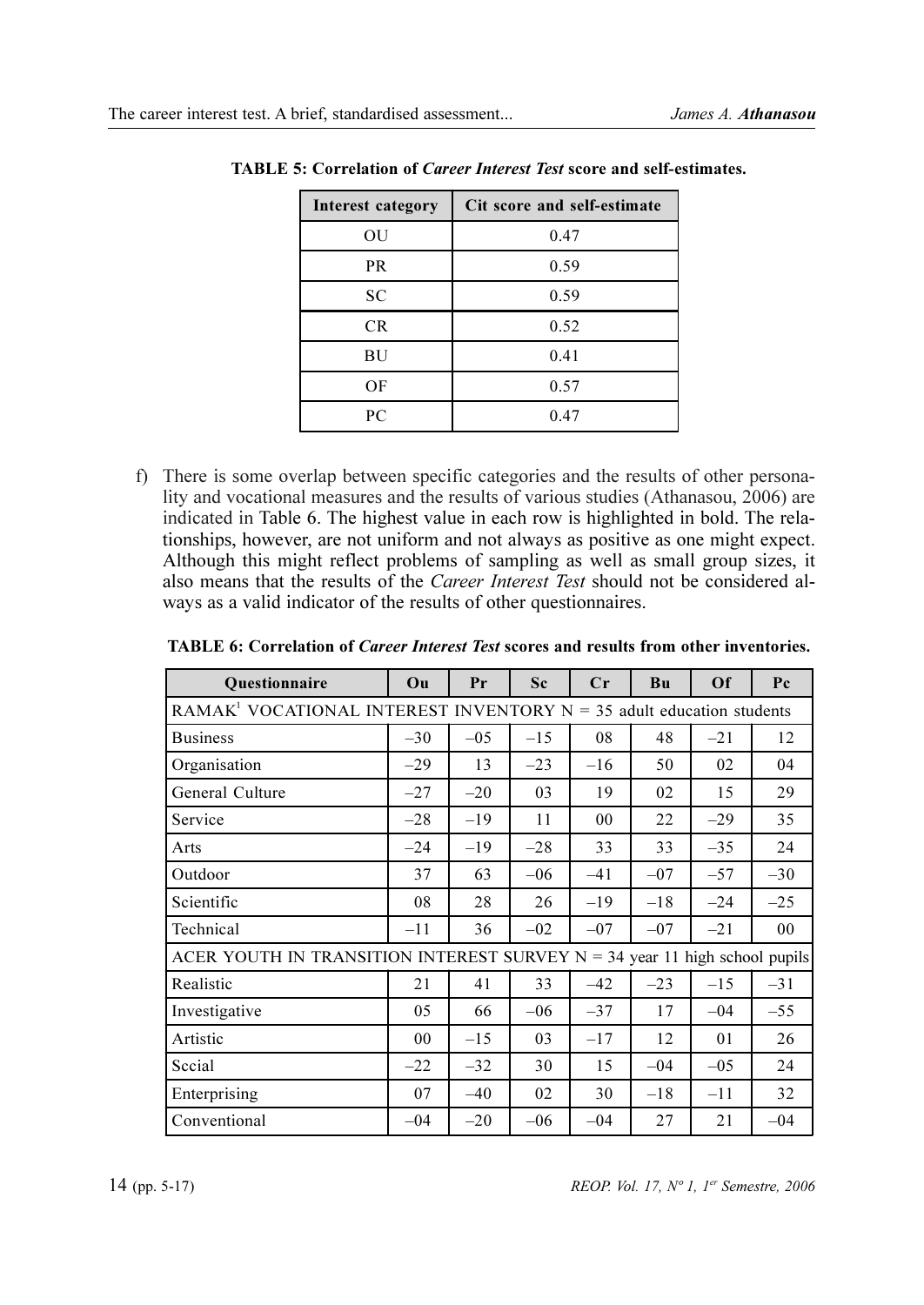| Interest category | Cit score and self-estimate |
|-------------------|-----------------------------|
| OU                | 0.47                        |
| PR                | 0.59                        |
| SC                | 0.59                        |
| CR.               | 0.52                        |
| ΒU                | 0.41                        |
| OF                | 0.57                        |
| PC                | 0.47                        |

| <b>TABLE 5: Correlation of Career Interest Test score and self-estimates.</b> |
|-------------------------------------------------------------------------------|
|-------------------------------------------------------------------------------|

f) There is some overlap between specific categories and the results of other personality and vocational measures and the results of various studies (Athanasou, 2006) are indicated in Table 6. The highest value in each row is highlighted in bold. The relationships, however, are not uniform and not always as positive as one might expect. Although this might reflect problems of sampling as well as small group sizes, it also means that the results of the Career Interest Test should not be considered always as a valid indicator of the results of other questionnaires.

| <b>Ouestionnaire</b>                                                               | Ou    | Pr    | Sc    | $C_{r}$ | B <sub>u</sub> | Of     | P <sub>c</sub> |  |  |
|------------------------------------------------------------------------------------|-------|-------|-------|---------|----------------|--------|----------------|--|--|
| RAMAK <sup>1</sup> VOCATIONAL INTEREST INVENTORY $N = 35$ adult education students |       |       |       |         |                |        |                |  |  |
| <b>Business</b>                                                                    | $-30$ | $-05$ | $-15$ | 08      | 48             | $-21$  | 12             |  |  |
| Organisation                                                                       | $-29$ | 13    | $-23$ | $-16$   | 50             | 02     | 04             |  |  |
| General Culture                                                                    | $-27$ | $-20$ | 03    | 19      | 02             | 15     | 29             |  |  |
| Service                                                                            | $-28$ | $-19$ | 11    | 00      | 22             | $-29$  | 35             |  |  |
| Arts                                                                               | $-24$ | $-19$ | $-28$ | 33      | 33             | $-35$  | 24             |  |  |
| Outdoor                                                                            | 37    | 63    | $-06$ | $-41$   | $-07$          | $-57$  | $-30$          |  |  |
| Scientific                                                                         | 08    | 28    | 26    | $-19$   | $-18$          | $-24$  | $-25$          |  |  |
| Technical                                                                          | $-11$ | 36    | $-02$ | $-07$   | $-07$          | $-21$  | 00             |  |  |
| ACER YOUTH IN TRANSITION INTEREST SURVEY $N = 34$ year 11 high school pupils       |       |       |       |         |                |        |                |  |  |
| Realistic                                                                          | 21    | 41    | 33    | $-42$   | $-23$          | $-15$  | $-31$          |  |  |
| Investigative                                                                      | 05    | 66    | $-06$ | $-37$   | 17             | $-04$  | $-55$          |  |  |
| Artistic                                                                           | 00    | $-15$ | 03    | $-17$   | 12             | 01     | 26             |  |  |
| Secial                                                                             | $-22$ | $-32$ | 30    | 15      | $-04$          | $-0.5$ | 24             |  |  |
| Enterprising                                                                       | 07    | $-40$ | 02    | 30      | $-18$          | $-11$  | 32             |  |  |
| Conventional                                                                       | $-04$ | $-20$ | $-06$ | $-04$   | 27             | 21     | $-04$          |  |  |

TABLE 6: Correlation of Career Interest Test scores and results from other inventories.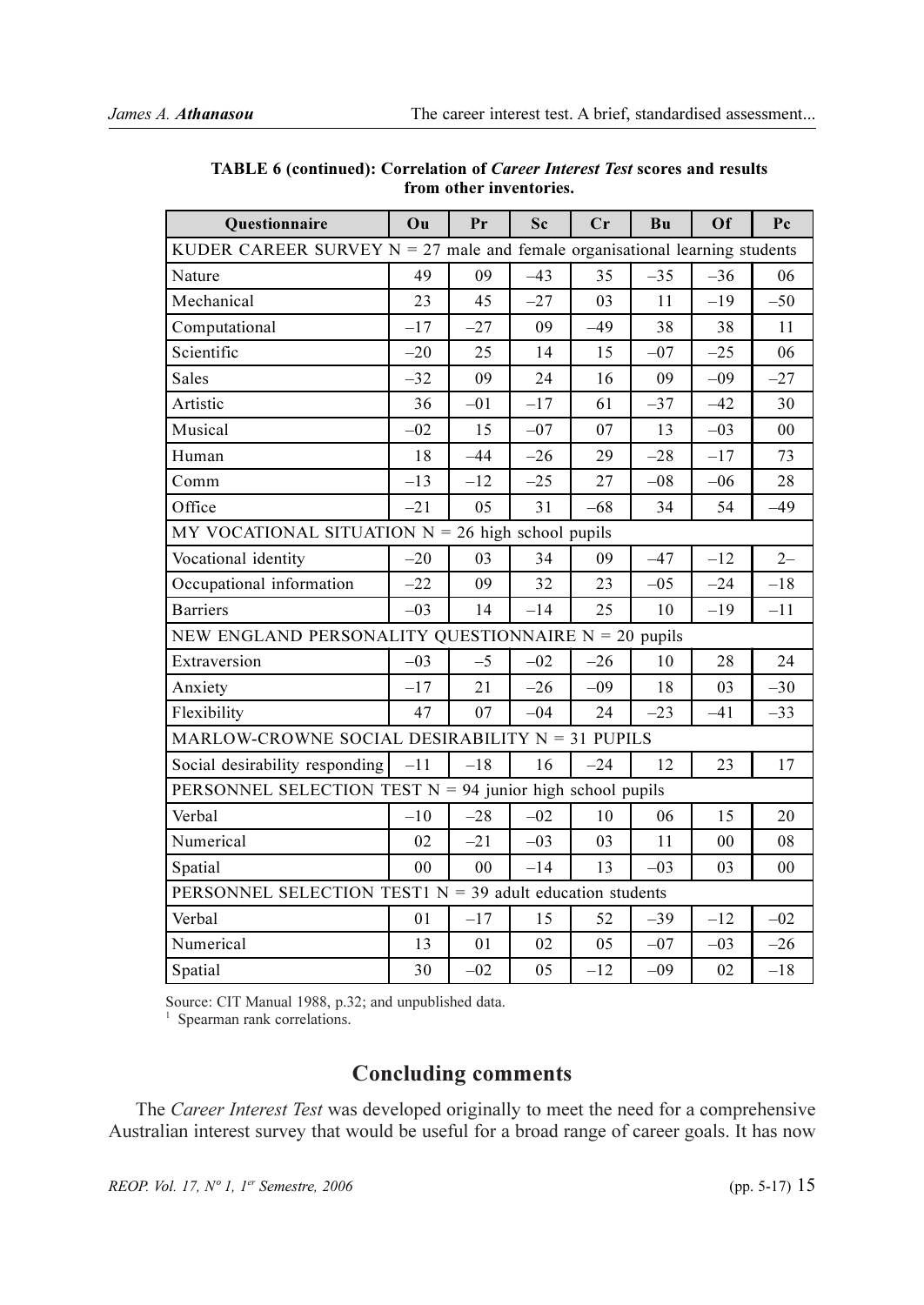| <b>Ouestionnaire</b>                                                          | Ou             | Pr             | Sc    | Cr    | Bu     | Of    | Pc    |  |  |
|-------------------------------------------------------------------------------|----------------|----------------|-------|-------|--------|-------|-------|--|--|
| KUDER CAREER SURVEY $N = 27$ male and female organisational learning students |                |                |       |       |        |       |       |  |  |
| Nature                                                                        | 49             | 09             | $-43$ | 35    | $-35$  | $-36$ | 06    |  |  |
| Mechanical                                                                    | 23             | 45             | $-27$ | 03    | 11     | $-19$ | $-50$ |  |  |
| Computational                                                                 | $-17$          | $-27$          | 09    | $-49$ | 38     | 38    | 11    |  |  |
| Scientific                                                                    | $-20$          | 25             | 14    | 15    | $-07$  | $-25$ | 06    |  |  |
| <b>Sales</b>                                                                  | $-32$          | 09             | 24    | 16    | 09     | $-09$ | $-27$ |  |  |
| Artistic                                                                      | 36             | $-01$          | $-17$ | 61    | $-37$  | $-42$ | 30    |  |  |
| Musical                                                                       | $-02$          | 15             | $-07$ | 07    | 13     | $-03$ | 00    |  |  |
| Human                                                                         | 18             | $-44$          | $-26$ | 29    | $-28$  | $-17$ | 73    |  |  |
| Comm                                                                          | $-13$          | $-12$          | $-25$ | 27    | $-08$  | $-06$ | 28    |  |  |
| Office                                                                        | $-21$          | 05             | 31    | –68   | 34     | 54    | -49   |  |  |
| MY VOCATIONAL SITUATION $N = 26$ high school pupils                           |                |                |       |       |        |       |       |  |  |
| Vocational identity                                                           | $-20$          | 03             | 34    | 09    | $-47$  | $-12$ | $2 -$ |  |  |
| Occupational information                                                      | $-22$          | 09             | 32    | 23    | $-05$  | $-24$ | $-18$ |  |  |
| <b>Barriers</b>                                                               | $-0.3$         | 14             | $-14$ | 25    | 10     | $-19$ | $-11$ |  |  |
| NEW ENGLAND PERSONALITY QUESTIONNAIRE N = 20 pupils                           |                |                |       |       |        |       |       |  |  |
| Extraversion                                                                  | $-03$          | $-5$           | $-02$ | $-26$ | 10     | 28    | 24    |  |  |
| Anxiety                                                                       | $-17$          | 21             | $-26$ | $-09$ | 18     | 03    | $-30$ |  |  |
| Flexibility                                                                   | 47             | 07             | $-04$ | 24    | $-23$  | $-41$ | $-33$ |  |  |
| $MARLOW-CROWNE$ SOCIAL DESIRABILITY $N = 31$ PUPILS                           |                |                |       |       |        |       |       |  |  |
| Social desirability responding                                                | $-11$          | $-18$          | 16    | $-24$ | 12     | 23    | 17    |  |  |
| PERSONNEL SELECTION TEST $N = 94$ junior high school pupils                   |                |                |       |       |        |       |       |  |  |
| Verbal                                                                        | $-10$          | $-28$          | $-02$ | 10    | 06     | 15    | 20    |  |  |
| Numerical                                                                     | 02             | $-21$          | $-03$ | 03    | 11     | 00    | 08    |  |  |
| Spatial                                                                       | 0 <sub>0</sub> | 0 <sub>0</sub> | $-14$ | 13    | $-0.3$ | 03    | 00    |  |  |
| PERSONNEL SELECTION TEST1 $N = 39$ adult education students                   |                |                |       |       |        |       |       |  |  |
| Verbal                                                                        | 01             | $-17$          | 15    | 52    | $-39$  | $-12$ | $-02$ |  |  |
| Numerical                                                                     | 13             | 01             | 02    | 05    | $-07$  | $-03$ | $-26$ |  |  |
| Spatial                                                                       | 30             | $-02$          | 05    | $-12$ | $-09$  | 02    | $-18$ |  |  |

#### TABLE 6 (continued): Correlation of Career Interest Test scores and results from other inventories.

Source: CIT Manual 1988, p.32; and unpublished data.

<sup>1</sup> Spearman rank correlations.

# Concluding comments

The Career Interest Test was developed originally to meet the need for a comprehensive Australian interest survey that would be useful for a broad range of career goals. It has now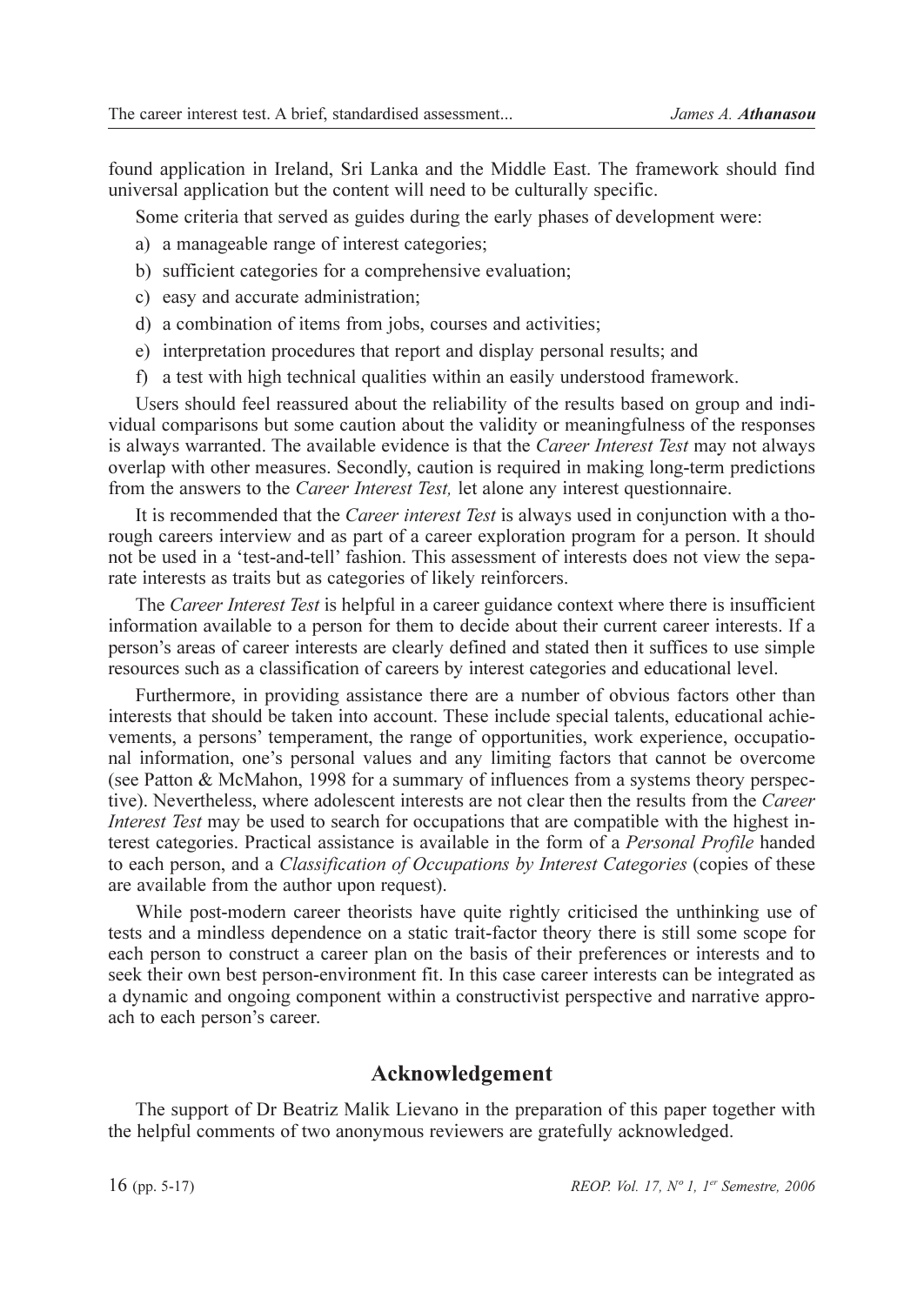found application in Ireland, Sri Lanka and the Middle East. The framework should find universal application but the content will need to be culturally specific.

Some criteria that served as guides during the early phases of development were:

- a) a manageable range of interest categories;
- b) sufficient categories for a comprehensive evaluation;
- c) easy and accurate administration;
- d) a combination of items from jobs, courses and activities;
- e) interpretation procedures that report and display personal results; and
- f) a test with high technical qualities within an easily understood framework.

Users should feel reassured about the reliability of the results based on group and individual comparisons but some caution about the validity or meaningfulness of the responses is always warranted. The available evidence is that the Career Interest Test may not always overlap with other measures. Secondly, caution is required in making long-term predictions from the answers to the *Career Interest Test*, let alone any interest questionnaire.

It is recommended that the *Career interest Test* is always used in conjunction with a thorough careers interview and as part of a career exploration program for a person. It should not be used in a 'test-and-tell' fashion. This assessment of interests does not view the separate interests as traits but as categories of likely reinforcers.

The Career Interest Test is helpful in a career guidance context where there is insufficient information available to a person for them to decide about their current career interests. If a person's areas of career interests are clearly defined and stated then it suffices to use simple resources such as a classification of careers by interest categories and educational level.

Furthermore, in providing assistance there are a number of obvious factors other than interests that should be taken into account. These include special talents, educational achievements, a persons' temperament, the range of opportunities, work experience, occupational information, one's personal values and any limiting factors that cannot be overcome (see Patton & McMahon, 1998 for a summary of influences from a systems theory perspective). Nevertheless, where adolescent interests are not clear then the results from the Career *Interest Test* may be used to search for occupations that are compatible with the highest interest categories. Practical assistance is available in the form of a *Personal Profile* handed to each person, and a Classification of Occupations by Interest Categories (copies of these are available from the author upon request).

While post-modern career theorists have quite rightly criticised the unthinking use of tests and a mindless dependence on a static trait-factor theory there is still some scope for each person to construct a career plan on the basis of their preferences or interests and to seek their own best person-environment fit. In this case career interests can be integrated as a dynamic and ongoing component within a constructivist perspective and narrative approach to each person's career.

## Acknowledgement

The support of Dr Beatriz Malik Lievano in the preparation of this paper together with the helpful comments of two anonymous reviewers are gratefully acknowledged.